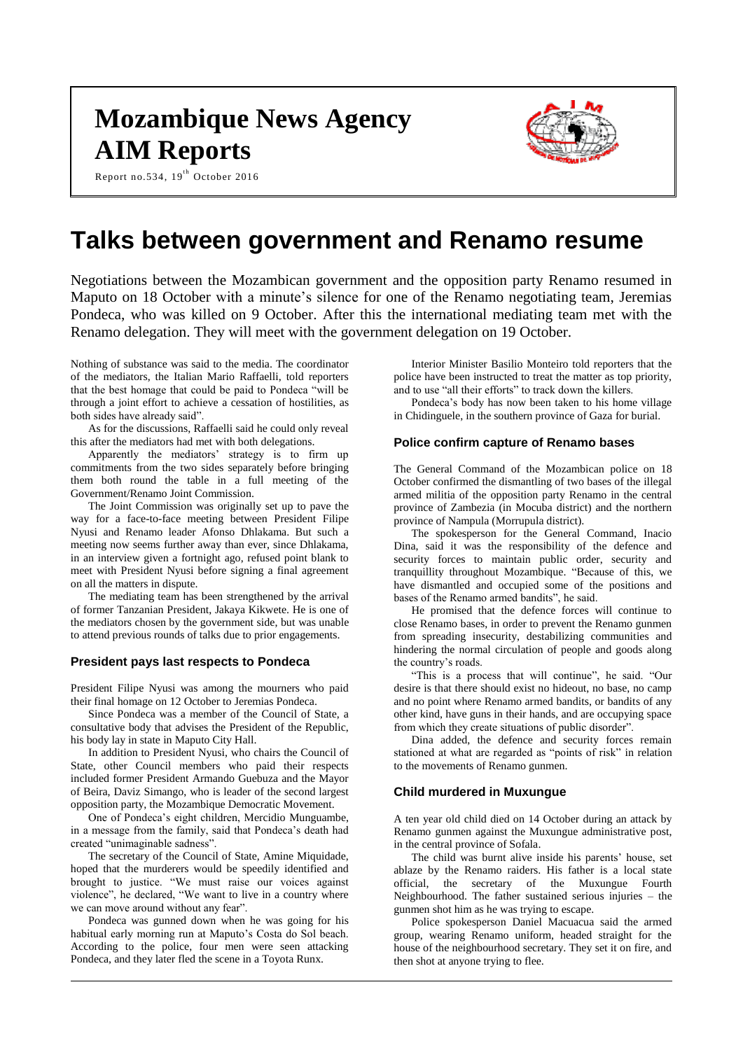# **Mozambique News Agency AIM Reports**

Report no.534,  $19^{th}$  October 2016



# **Talks between government and Renamo resume**

Negotiations between the Mozambican government and the opposition party Renamo resumed in Maputo on 18 October with a minute's silence for one of the Renamo negotiating team, Jeremias Pondeca, who was killed on 9 October. After this the international mediating team met with the Renamo delegation. They will meet with the government delegation on 19 October.

Nothing of substance was said to the media. The coordinator of the mediators, the Italian Mario Raffaelli, told reporters that the best homage that could be paid to Pondeca "will be through a joint effort to achieve a cessation of hostilities, as both sides have already said".

As for the discussions, Raffaelli said he could only reveal this after the mediators had met with both delegations.

Apparently the mediators' strategy is to firm up commitments from the two sides separately before bringing them both round the table in a full meeting of the Government/Renamo Joint Commission.

The Joint Commission was originally set up to pave the way for a face-to-face meeting between President Filipe Nyusi and Renamo leader Afonso Dhlakama. But such a meeting now seems further away than ever, since Dhlakama, in an interview given a fortnight ago, refused point blank to meet with President Nyusi before signing a final agreement on all the matters in dispute.

The mediating team has been strengthened by the arrival of former Tanzanian President, Jakaya Kikwete. He is one of the mediators chosen by the government side, but was unable to attend previous rounds of talks due to prior engagements.

# **President pays last respects to Pondeca**

President Filipe Nyusi was among the mourners who paid their final homage on 12 October to Jeremias Pondeca.

Since Pondeca was a member of the Council of State, a consultative body that advises the President of the Republic, his body lay in state in Maputo City Hall.

In addition to President Nyusi, who chairs the Council of State, other Council members who paid their respects included former President Armando Guebuza and the Mayor of Beira, Daviz Simango, who is leader of the second largest opposition party, the Mozambique Democratic Movement.

One of Pondeca's eight children, Mercidio Munguambe, in a message from the family, said that Pondeca's death had created "unimaginable sadness".

The secretary of the Council of State, Amine Miquidade, hoped that the murderers would be speedily identified and brought to justice. "We must raise our voices against violence", he declared, "We want to live in a country where we can move around without any fear".

Pondeca was gunned down when he was going for his habitual early morning run at Maputo's Costa do Sol beach. According to the police, four men were seen attacking Pondeca, and they later fled the scene in a Toyota Runx.

Interior Minister Basilio Monteiro told reporters that the police have been instructed to treat the matter as top priority, and to use "all their efforts" to track down the killers.

Pondeca's body has now been taken to his home village in Chidinguele, in the southern province of Gaza for burial.

## **Police confirm capture of Renamo bases**

The General Command of the Mozambican police on 18 October confirmed the dismantling of two bases of the illegal armed militia of the opposition party Renamo in the central province of Zambezia (in Mocuba district) and the northern province of Nampula (Morrupula district).

The spokesperson for the General Command, Inacio Dina, said it was the responsibility of the defence and security forces to maintain public order, security and tranquillity throughout Mozambique. "Because of this, we have dismantled and occupied some of the positions and bases of the Renamo armed bandits", he said.

He promised that the defence forces will continue to close Renamo bases, in order to prevent the Renamo gunmen from spreading insecurity, destabilizing communities and hindering the normal circulation of people and goods along the country's roads.

"This is a process that will continue", he said. "Our desire is that there should exist no hideout, no base, no camp and no point where Renamo armed bandits, or bandits of any other kind, have guns in their hands, and are occupying space from which they create situations of public disorder".

Dina added, the defence and security forces remain stationed at what are regarded as "points of risk" in relation to the movements of Renamo gunmen.

# **Child murdered in Muxungue**

A ten year old child died on 14 October during an attack by Renamo gunmen against the Muxungue administrative post, in the central province of Sofala.

The child was burnt alive inside his parents' house, set ablaze by the Renamo raiders. His father is a local state official, the secretary of the Muxungue Fourth Neighbourhood. The father sustained serious injuries – the gunmen shot him as he was trying to escape.

Police spokesperson Daniel Macuacua said the armed group, wearing Renamo uniform, headed straight for the house of the neighbourhood secretary. They set it on fire, and then shot at anyone trying to flee.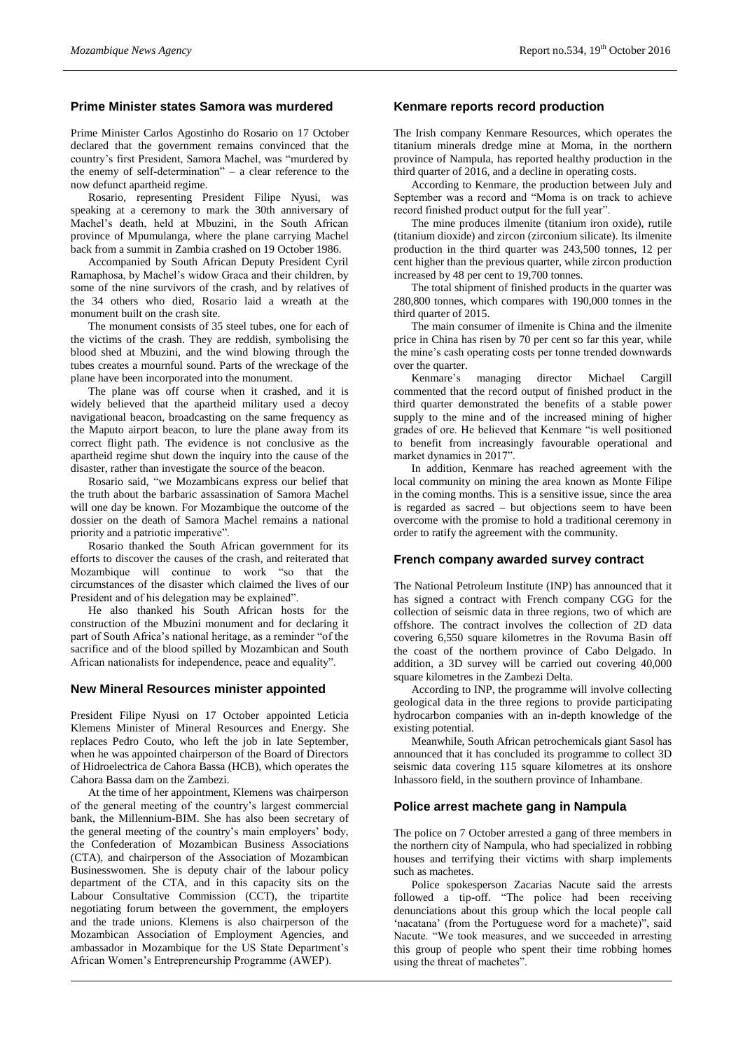# **Prime Minister states Samora was murdered**

Prime Minister Carlos Agostinho do Rosario on 17 October declared that the government remains convinced that the country's first President, Samora Machel, was "murdered by the enemy of self-determination" – a clear reference to the now defunct apartheid regime.

Rosario, representing President Filipe Nyusi, was speaking at a ceremony to mark the 30th anniversary of Machel's death, held at Mbuzini, in the South African province of Mpumulanga, where the plane carrying Machel back from a summit in Zambia crashed on 19 October 1986.

Accompanied by South African Deputy President Cyril Ramaphosa, by Machel's widow Graca and their children, by some of the nine survivors of the crash, and by relatives of the 34 others who died, Rosario laid a wreath at the monument built on the crash site.

The monument consists of 35 steel tubes, one for each of the victims of the crash. They are reddish, symbolising the blood shed at Mbuzini, and the wind blowing through the tubes creates a mournful sound. Parts of the wreckage of the plane have been incorporated into the monument.

The plane was off course when it crashed, and it is widely believed that the apartheid military used a decoy navigational beacon, broadcasting on the same frequency as the Maputo airport beacon, to lure the plane away from its correct flight path. The evidence is not conclusive as the apartheid regime shut down the inquiry into the cause of the disaster, rather than investigate the source of the beacon.

Rosario said, "we Mozambicans express our belief that the truth about the barbaric assassination of Samora Machel will one day be known. For Mozambique the outcome of the dossier on the death of Samora Machel remains a national priority and a patriotic imperative".

Rosario thanked the South African government for its efforts to discover the causes of the crash, and reiterated that Mozambique will continue to work "so that the circumstances of the disaster which claimed the lives of our President and of his delegation may be explained".

He also thanked his South African hosts for the construction of the Mbuzini monument and for declaring it part of South Africa's national heritage, as a reminder "of the sacrifice and of the blood spilled by Mozambican and South African nationalists for independence, peace and equality".

#### **New Mineral Resources minister appointed**

President Filipe Nyusi on 17 October appointed Leticia Klemens Minister of Mineral Resources and Energy. She replaces Pedro Couto, who left the job in late September, when he was appointed chairperson of the Board of Directors of Hidroelectrica de Cahora Bassa (HCB), which operates the Cahora Bassa dam on the Zambezi.

At the time of her appointment, Klemens was chairperson of the general meeting of the country's largest commercial bank, the Millennium-BIM. She has also been secretary of the general meeting of the country's main employers' body, the Confederation of Mozambican Business Associations (CTA), and chairperson of the Association of Mozambican Businesswomen. She is deputy chair of the labour policy department of the CTA, and in this capacity sits on the Labour Consultative Commission (CCT), the tripartite negotiating forum between the government, the employers and the trade unions. Klemens is also chairperson of the Mozambican Association of Employment Agencies, and ambassador in Mozambique for the US State Department's African Women's Entrepreneurship Programme (AWEP).

# **Kenmare reports record production**

The Irish company Kenmare Resources, which operates the titanium minerals dredge mine at Moma, in the northern province of Nampula, has reported healthy production in the third quarter of 2016, and a decline in operating costs.

According to Kenmare, the production between July and September was a record and "Moma is on track to achieve record finished product output for the full year".

The mine produces ilmenite (titanium iron oxide), rutile (titanium dioxide) and zircon (zirconium silicate). Its ilmenite production in the third quarter was 243,500 tonnes, 12 per cent higher than the previous quarter, while zircon production increased by 48 per cent to 19,700 tonnes.

The total shipment of finished products in the quarter was 280,800 tonnes, which compares with 190,000 tonnes in the third quarter of 2015.

The main consumer of ilmenite is China and the ilmenite price in China has risen by 70 per cent so far this year, while the mine's cash operating costs per tonne trended downwards over the quarter.

Kenmare's managing director Michael Cargill commented that the record output of finished product in the third quarter demonstrated the benefits of a stable power supply to the mine and of the increased mining of higher grades of ore. He believed that Kenmare "is well positioned to benefit from increasingly favourable operational and market dynamics in 2017".

In addition, Kenmare has reached agreement with the local community on mining the area known as Monte Filipe in the coming months. This is a sensitive issue, since the area is regarded as sacred – but objections seem to have been overcome with the promise to hold a traditional ceremony in order to ratify the agreement with the community.

#### **French company awarded survey contract**

The National Petroleum Institute (INP) has announced that it has signed a contract with French company CGG for the collection of seismic data in three regions, two of which are offshore. The contract involves the collection of 2D data covering 6,550 square kilometres in the Rovuma Basin off the coast of the northern province of Cabo Delgado. In addition, a 3D survey will be carried out covering 40,000 square kilometres in the Zambezi Delta.

According to INP, the programme will involve collecting geological data in the three regions to provide participating hydrocarbon companies with an in-depth knowledge of the existing potential.

Meanwhile, South African petrochemicals giant Sasol has announced that it has concluded its programme to collect 3D seismic data covering 115 square kilometres at its onshore Inhassoro field, in the southern province of Inhambane.

#### **Police arrest machete gang in Nampula**

The police on 7 October arrested a gang of three members in the northern city of Nampula, who had specialized in robbing houses and terrifying their victims with sharp implements such as machetes.

Police spokesperson Zacarias Nacute said the arrests followed a tip-off. "The police had been receiving denunciations about this group which the local people call 'nacatana' (from the Portuguese word for a machete)", said Nacute. "We took measures, and we succeeded in arresting this group of people who spent their time robbing homes using the threat of machetes".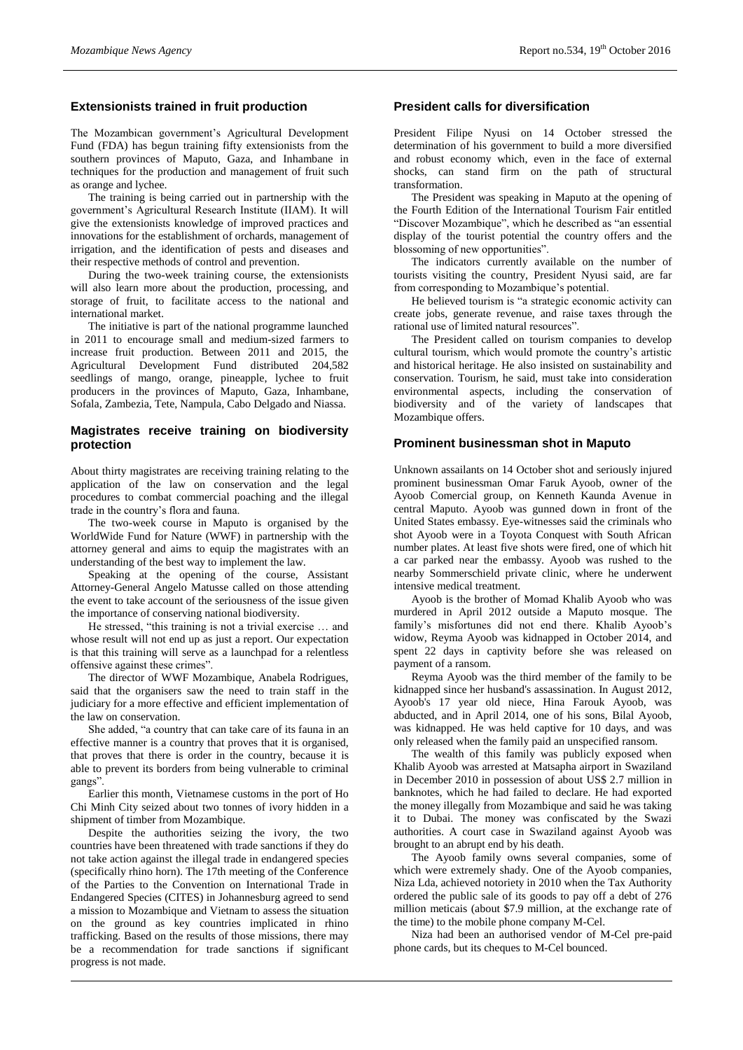# **Extensionists trained in fruit production**

The Mozambican government's Agricultural Development Fund (FDA) has begun training fifty extensionists from the southern provinces of Maputo, Gaza, and Inhambane in techniques for the production and management of fruit such as orange and lychee.

The training is being carried out in partnership with the government's Agricultural Research Institute (IIAM). It will give the extensionists knowledge of improved practices and innovations for the establishment of orchards, management of irrigation, and the identification of pests and diseases and their respective methods of control and prevention.

During the two-week training course, the extensionists will also learn more about the production, processing, and storage of fruit, to facilitate access to the national and international market.

The initiative is part of the national programme launched in 2011 to encourage small and medium-sized farmers to increase fruit production. Between 2011 and 2015, the Agricultural Development Fund distributed 204,582 seedlings of mango, orange, pineapple, lychee to fruit producers in the provinces of Maputo, Gaza, Inhambane, Sofala, Zambezia, Tete, Nampula, Cabo Delgado and Niassa.

# **Magistrates receive training on biodiversity protection**

About thirty magistrates are receiving training relating to the application of the law on conservation and the legal procedures to combat commercial poaching and the illegal trade in the country's flora and fauna.

The two-week course in Maputo is organised by the WorldWide Fund for Nature (WWF) in partnership with the attorney general and aims to equip the magistrates with an understanding of the best way to implement the law.

Speaking at the opening of the course, Assistant Attorney-General Angelo Matusse called on those attending the event to take account of the seriousness of the issue given the importance of conserving national biodiversity.

He stressed, "this training is not a trivial exercise … and whose result will not end up as just a report. Our expectation is that this training will serve as a launchpad for a relentless offensive against these crimes".

The director of WWF Mozambique, Anabela Rodrigues, said that the organisers saw the need to train staff in the judiciary for a more effective and efficient implementation of the law on conservation.

She added, "a country that can take care of its fauna in an effective manner is a country that proves that it is organised, that proves that there is order in the country, because it is able to prevent its borders from being vulnerable to criminal gangs".

Earlier this month, Vietnamese customs in the port of Ho Chi Minh City seized about two tonnes of ivory hidden in a shipment of timber from Mozambique.

Despite the authorities seizing the ivory, the two countries have been threatened with trade sanctions if they do not take action against the illegal trade in endangered species (specifically rhino horn). The 17th meeting of the Conference of the Parties to the Convention on International Trade in Endangered Species (CITES) in Johannesburg agreed to send a mission to Mozambique and Vietnam to assess the situation on the ground as key countries implicated in rhino trafficking. Based on the results of those missions, there may be a recommendation for trade sanctions if significant progress is not made.

# **President calls for diversification**

President Filipe Nyusi on 14 October stressed the determination of his government to build a more diversified and robust economy which, even in the face of external shocks, can stand firm on the path of structural transformation.

The President was speaking in Maputo at the opening of the Fourth Edition of the International Tourism Fair entitled "Discover Mozambique", which he described as "an essential display of the tourist potential the country offers and the blossoming of new opportunities".

The indicators currently available on the number of tourists visiting the country, President Nyusi said, are far from corresponding to Mozambique's potential.

He believed tourism is "a strategic economic activity can create jobs, generate revenue, and raise taxes through the rational use of limited natural resources".

The President called on tourism companies to develop cultural tourism, which would promote the country's artistic and historical heritage. He also insisted on sustainability and conservation. Tourism, he said, must take into consideration environmental aspects, including the conservation of biodiversity and of the variety of landscapes that Mozambique offers.

#### **Prominent businessman shot in Maputo**

Unknown assailants on 14 October shot and seriously injured prominent businessman Omar Faruk Ayoob, owner of the Ayoob Comercial group, on Kenneth Kaunda Avenue in central Maputo. Ayoob was gunned down in front of the United States embassy. Eye-witnesses said the criminals who shot Ayoob were in a Toyota Conquest with South African number plates. At least five shots were fired, one of which hit a car parked near the embassy. Ayoob was rushed to the nearby Sommerschield private clinic, where he underwent intensive medical treatment.

Ayoob is the brother of Momad Khalib Ayoob who was murdered in April 2012 outside a Maputo mosque. The family's misfortunes did not end there. Khalib Ayoob's widow, Reyma Ayoob was kidnapped in October 2014, and spent 22 days in captivity before she was released on payment of a ransom.

Reyma Ayoob was the third member of the family to be kidnapped since her husband's assassination. In August 2012, Ayoob's 17 year old niece, Hina Farouk Ayoob, was abducted, and in April 2014, one of his sons, Bilal Ayoob, was kidnapped. He was held captive for 10 days, and was only released when the family paid an unspecified ransom.

The wealth of this family was publicly exposed when Khalib Ayoob was arrested at Matsapha airport in Swaziland in December 2010 in possession of about US\$ 2.7 million in banknotes, which he had failed to declare. He had exported the money illegally from Mozambique and said he was taking it to Dubai. The money was confiscated by the Swazi authorities. A court case in Swaziland against Ayoob was brought to an abrupt end by his death.

The Ayoob family owns several companies, some of which were extremely shady. One of the Ayoob companies, Niza Lda, achieved notoriety in 2010 when the Tax Authority ordered the public sale of its goods to pay off a debt of 276 million meticais (about \$7.9 million, at the exchange rate of the time) to the mobile phone company M-Cel.

Niza had been an authorised vendor of M-Cel pre-paid phone cards, but its cheques to M-Cel bounced.